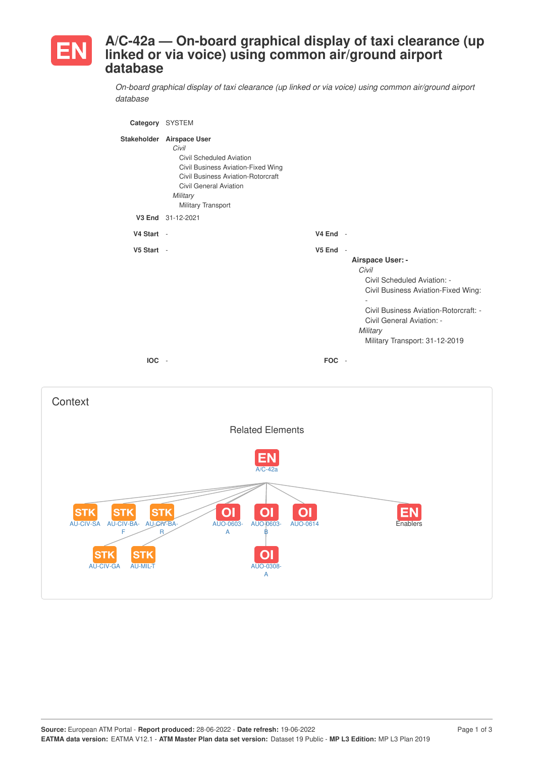

## **A/C-42a — On-board graphical display of taxi clearance (up linked or via voice) using common air/ground airport database**

*On-board graphical display of taxi clearance (up linked or via voice) using common air/ground airport database*

| Category SYSTEM |                                                                                                                                                                                                        |                                                |                                                                                                                                                                                                                     |
|-----------------|--------------------------------------------------------------------------------------------------------------------------------------------------------------------------------------------------------|------------------------------------------------|---------------------------------------------------------------------------------------------------------------------------------------------------------------------------------------------------------------------|
|                 | Stakeholder Airspace User<br>Civil<br>Civil Scheduled Aviation<br>Civil Business Aviation-Fixed Wing<br>Civil Business Aviation-Rotorcraft<br>Civil General Aviation<br>Military<br>Military Transport |                                                |                                                                                                                                                                                                                     |
|                 | V3 End 31-12-2021                                                                                                                                                                                      |                                                |                                                                                                                                                                                                                     |
| V4 Start -      |                                                                                                                                                                                                        | $V4$ End -                                     |                                                                                                                                                                                                                     |
| V5 Start -      |                                                                                                                                                                                                        | V <sub>5</sub> End<br>$\overline{\phantom{a}}$ | Airspace User: -<br>Civil<br>Civil Scheduled Aviation: -<br>Civil Business Aviation-Fixed Wing:<br>Civil Business Aviation-Rotorcraft: -<br>Civil General Aviation: -<br>Military<br>Military Transport: 31-12-2019 |
| IOC -           |                                                                                                                                                                                                        | FOC -                                          |                                                                                                                                                                                                                     |

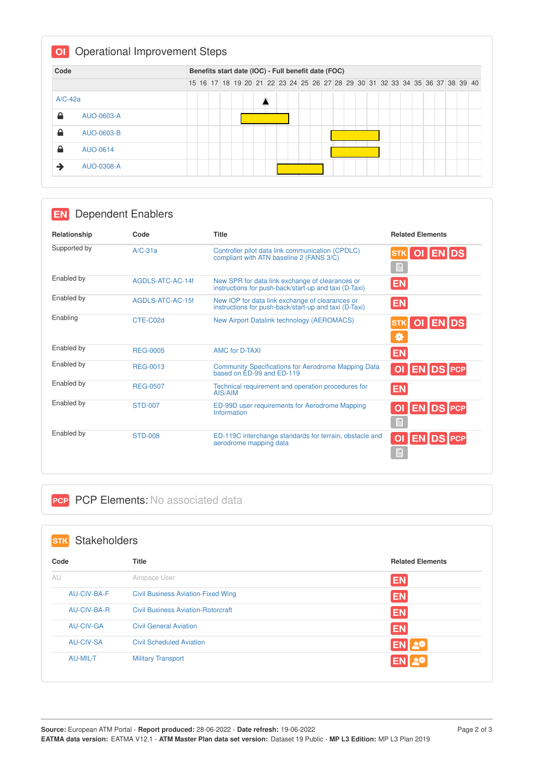| Code      |            |  | Benefits start date (IOC) - Full benefit date (FOC)                           |  |  |  |  |  |  |  |  |  |  |  |
|-----------|------------|--|-------------------------------------------------------------------------------|--|--|--|--|--|--|--|--|--|--|--|
|           |            |  | 15 16 17 18 19 20 21 22 23 24 25 26 27 28 29 30 31 32 33 34 35 36 37 38 39 40 |  |  |  |  |  |  |  |  |  |  |  |
| $A/C-42a$ |            |  |                                                                               |  |  |  |  |  |  |  |  |  |  |  |
| 숌         | AUO-0603-A |  |                                                                               |  |  |  |  |  |  |  |  |  |  |  |
| ≙         | AUO-0603-B |  |                                                                               |  |  |  |  |  |  |  |  |  |  |  |
| ≙         | AUO-0614   |  |                                                                               |  |  |  |  |  |  |  |  |  |  |  |
|           | AUO-0308-A |  |                                                                               |  |  |  |  |  |  |  |  |  |  |  |

|              | Dependent Enablers |                                                                                                          |                                         |
|--------------|--------------------|----------------------------------------------------------------------------------------------------------|-----------------------------------------|
| Relationship | Code               | <b>Title</b>                                                                                             | <b>Related Elements</b>                 |
| Supported by | $A/C-31a$          | Controller pilot data link communication (CPDLC)<br>compliant with ATN baseline 2 (FANS 3/C)             | OI ENDS<br>H                            |
| Enabled by   | AGDLS-ATC-AC-14f   | New SPR for data link exchange of clearances or<br>instructions for push-back/start-up and taxi (D-Taxi) | <b>EN</b>                               |
| Enabled by   | AGDLS-ATC-AC-15f   | New IOP for data link exchange of clearances or<br>instructions for push-back/start-up and taxi (D-Taxi) | <b>EN</b>                               |
| Enabling     | CTE-C02d           | New Airport Datalink technology (AEROMACS)                                                               | OI ENDS<br><b>STK</b><br>₩              |
| Enabled by   | <b>REG-0005</b>    | <b>AMC for D-TAXI</b>                                                                                    | <b>EN</b>                               |
| Enabled by   | REG-0013           | <b>Community Specifications for Aerodrome Mapping Data</b><br>based on ED-99 and ED-119                  | OI EN DS PCP                            |
| Enabled by   | <b>REG-0507</b>    | Technical requirement and operation procedures for<br>AIS/AIM                                            | <b>EN</b>                               |
| Enabled by   | <b>STD-007</b>     | ED-99D user requirements for Aerodrome Mapping<br>Information                                            | OI EN DS PCP<br>Ð                       |
| Enabled by   | <b>STD-008</b>     | ED-119C interchange standards for terrain, obstacle and<br>aerodrome mapping data                        | <b>EN DS PCP</b><br>O <sub>1</sub><br>昌 |

## **PCP PCP Elements: No associated data**

| <b>Stakeholders</b><br><b>STK</b> |                                           |                         |
|-----------------------------------|-------------------------------------------|-------------------------|
| Code                              | <b>Title</b>                              | <b>Related Elements</b> |
| AU                                | Airspace User                             | <b>EN</b>               |
| AU-CIV-BA-F                       | <b>Civil Business Aviation-Fixed Wing</b> | <b>EN</b>               |
| AU-CIV-BA-R                       | <b>Civil Business Aviation-Rotorcraft</b> | <b>EN</b>               |
| <b>AU-CIV-GA</b>                  | <b>Civil General Aviation</b>             | <b>EN</b>               |
| <b>AU-CIV-SA</b>                  | <b>Civil Scheduled Aviation</b>           | <b>EN 2*</b>            |
| <b>AU-MIL-T</b>                   | <b>Military Transport</b>                 | <b>ENIL®</b>            |